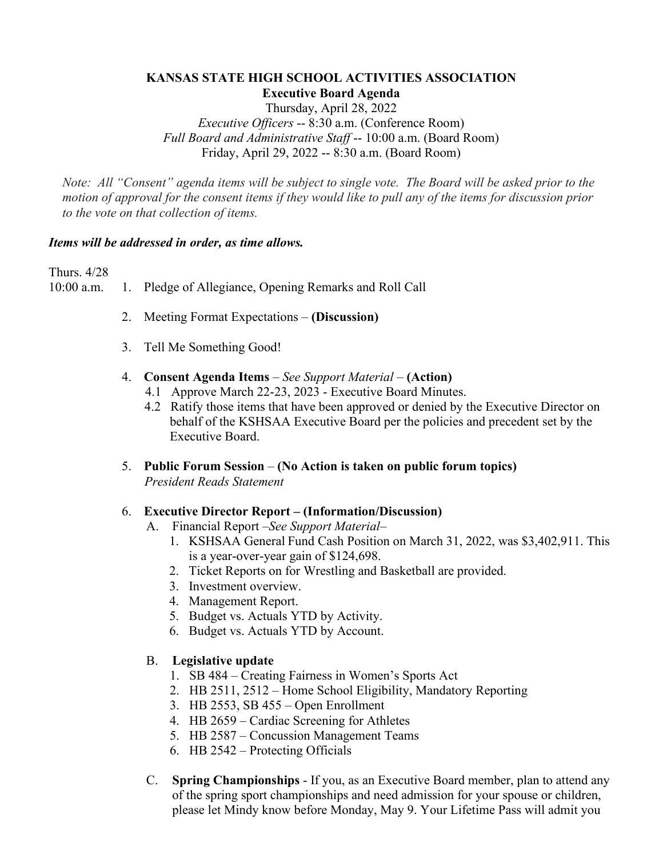## **KANSAS STATE HIGH SCHOOL ACTIVITIES ASSOCIATION Executive Board Agenda**

Thursday, April 28, 2022 *Executive Officers* -- 8:30 a.m. (Conference Room) *Full Board and Administrative Staff* -- 10:00 a.m. (Board Room) Friday, April 29, 2022 -- 8:30 a.m. (Board Room)

*Note: All "Consent" agenda items will be subject to single vote. The Board will be asked prior to the motion of approval for the consent items if they would like to pull any of the items for discussion prior to the vote on that collection of items.* 

#### *Items will be addressed in order, as time allows.*

Thurs. 4/28

10:00 a.m. 1. Pledge of Allegiance, Opening Remarks and Roll Call

- 2. Meeting Format Expectations *–* **(Discussion)**
- 3. Tell Me Something Good!
- 4. **Consent Agenda Items** *– See Support Material –* **(Action)**
	- 4.1 Approve March 22-23, 2023 Executive Board Minutes.
	- 4.2 Ratify those items that have been approved or denied by the Executive Director on behalf of the KSHSAA Executive Board per the policies and precedent set by the Executive Board.
- 5. **Public Forum Session (No Action is taken on public forum topics)** *President Reads Statement*

#### 6. **Executive Director Report – (Information/Discussion)**

- A. Financial Report *–See Support Material–*
	- 1. KSHSAA General Fund Cash Position on March 31, 2022, was \$3,402,911. This is a year-over-year gain of \$124,698.
	- 2. Ticket Reports on for Wrestling and Basketball are provided.
	- 3. Investment overview.
	- 4. Management Report.
	- 5. Budget vs. Actuals YTD by Activity.
	- 6. Budget vs. Actuals YTD by Account.

#### B. **Legislative update**

- 1. SB 484 Creating Fairness in Women's Sports Act
- 2. HB 2511, 2512 Home School Eligibility, Mandatory Reporting
- 3. HB 2553, SB 455 Open Enrollment
- 4. HB 2659 Cardiac Screening for Athletes
- 5. HB 2587 Concussion Management Teams
- 6. HB 2542 Protecting Officials
- C. **Spring Championships** If you, as an Executive Board member, plan to attend any of the spring sport championships and need admission for your spouse or children, please let Mindy know before Monday, May 9. Your Lifetime Pass will admit you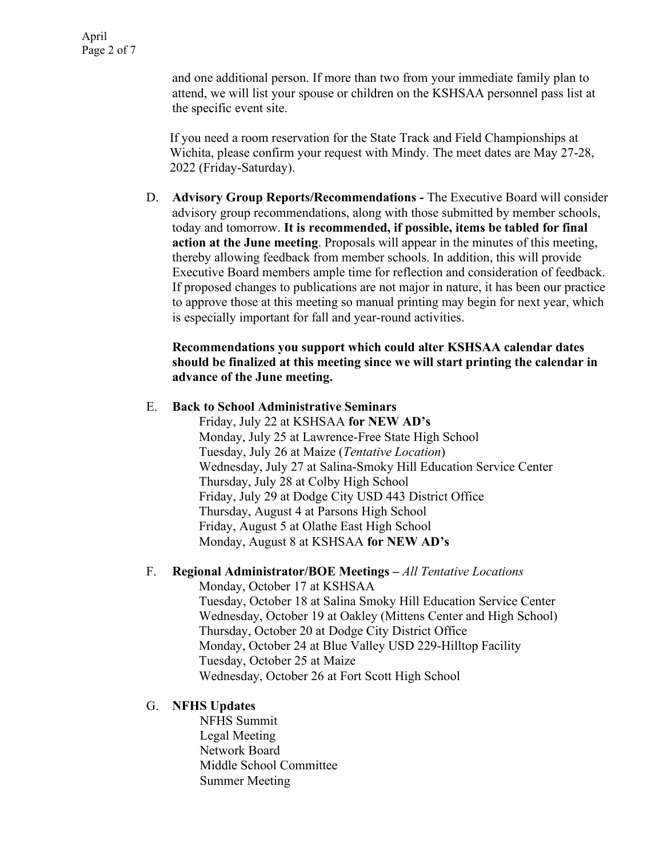and one additional person. If more than two from your immediate family plan to attend, we will list your spouse or children on the KSHSAA personnel pass list at the specific event site.

If you need a room reservation for the State Track and Field Championships at Wichita, please confirm your request with Mindy. The meet dates are May 27-28, 2022 (Friday-Saturday).

D. **Advisory Group Reports/Recommendations -** The Executive Board will consider advisory group recommendations, along with those submitted by member schools, today and tomorrow. **It is recommended, if possible, items be tabled for final action at the June meeting**. Proposals will appear in the minutes of this meeting, thereby allowing feedback from member schools. In addition, this will provide Executive Board members ample time for reflection and consideration of feedback. If proposed changes to publications are not major in nature, it has been our practice to approve those at this meeting so manual printing may begin for next year, which is especially important for fall and year-round activities.

#### **Recommendations you support which could alter KSHSAA calendar dates should be finalized at this meeting since we will start printing the calendar in advance of the June meeting.**

## E. **Back to School Administrative Seminars**

Friday, July 22 at KSHSAA **for NEW AD's** Monday, July 25 at Lawrence-Free State High School Tuesday, July 26 at Maize (*Tentative Location*) Wednesday, July 27 at Salina-Smoky Hill Education Service Center Thursday, July 28 at Colby High School Friday, July 29 at Dodge City USD 443 District Office Thursday, August 4 at Parsons High School Friday, August 5 at Olathe East High School Monday, August 8 at KSHSAA **for NEW AD's**

## F. **Regional Administrator/BOE Meetings –** *All Tentative Locations*

Monday, October 17 at KSHSAA Tuesday, October 18 at Salina Smoky Hill Education Service Center Wednesday, October 19 at Oakley (Mittens Center and High School) Thursday, October 20 at Dodge City District Office Monday, October 24 at Blue Valley USD 229-Hilltop Facility Tuesday, October 25 at Maize Wednesday, October 26 at Fort Scott High School

## G. **NFHS Updates**

NFHS Summit Legal Meeting Network Board Middle School Committee Summer Meeting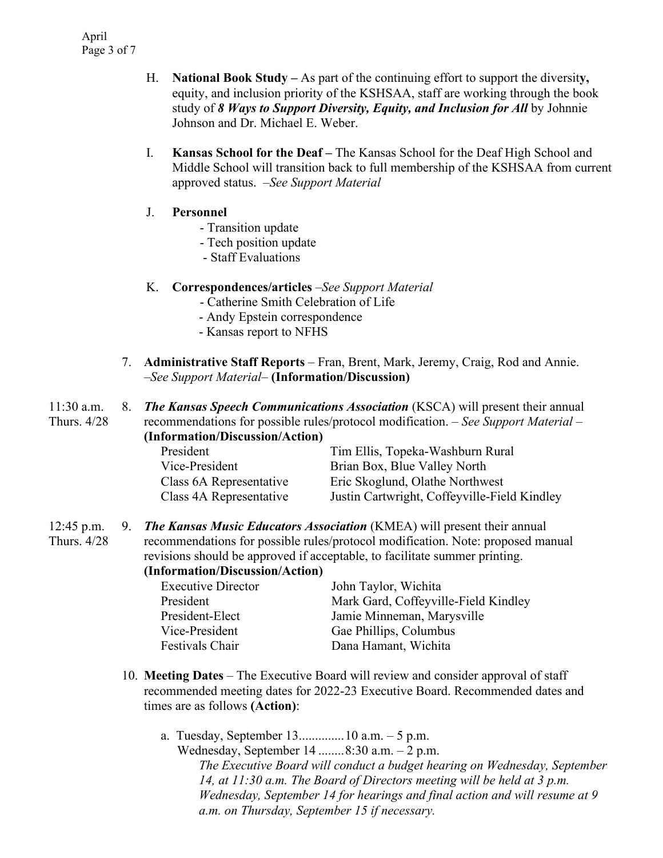- H. **National Book Study –** As part of the continuing effort to support the diversit**y,** equity, and inclusion priority of the KSHSAA, staff are working through the book study of *8 Ways to Support Diversity, Equity, and Inclusion for All* by Johnnie Johnson and Dr. Michael E. Weber.
- I. **Kansas School for the Deaf –** The Kansas School for the Deaf High School and Middle School will transition back to full membership of the KSHSAA from current approved status.*–See Support Material*
- J. **Personnel**
	- Transition update
	- Tech position update
	- Staff Evaluations

#### K. **Correspondences/articles** *–See Support Material*

- Catherine Smith Celebration of Life
- Andy Epstein correspondence
- Kansas report to NFHS
- 7. **Administrative Staff Reports** Fran, Brent, Mark, Jeremy, Craig, Rod and Annie. *–See Support Material–* **(Information/Discussion)**

| $11:30$ a.m. | . X. | <b>The Kansas Speech Communications Association</b> (KSCA) will present their annual   |
|--------------|------|----------------------------------------------------------------------------------------|
| Thurs. 4/28  |      | recommendations for possible rules/protocol modification. $-$ See Support Material $-$ |
|              |      | (Information/Discussion/Action)                                                        |

| President               | Tim Ellis, Topeka-Washburn Rural             |
|-------------------------|----------------------------------------------|
| Vice-President          | Brian Box, Blue Valley North                 |
| Class 6A Representative | Eric Skoglund, Olathe Northwest              |
| Class 4A Representative | Justin Cartwright, Coffeyville-Field Kindley |

12:45 p.m. Thurs. 4/28 9. *The Kansas Music Educators Association* (KMEA) will present their annual recommendations for possible rules/protocol modification. Note: proposed manual revisions should be approved if acceptable, to facilitate summer printing. **(Information/Discussion/Action)**

| <b>Executive Director</b> | John Taylor, Wichita                 |
|---------------------------|--------------------------------------|
| President                 | Mark Gard, Coffeyville-Field Kindley |
| President-Elect           | Jamie Minneman, Marysville           |
| Vice-President            | Gae Phillips, Columbus               |
| Festivals Chair           | Dana Hamant, Wichita                 |

- 10. **Meeting Dates** The Executive Board will review and consider approval of staff recommended meeting dates for 2022-23 Executive Board. Recommended dates and times are as follows **(Action)**:
	- a. Tuesday, September 13..............10 a.m. 5 p.m. Wednesday, September 14 ........8:30 a.m. – 2 p.m. *The Executive Board will conduct a budget hearing on Wednesday, September 14, at 11:30 a.m. The Board of Directors meeting will be held at 3 p.m. Wednesday, September 14 for hearings and final action and will resume at 9 a.m. on Thursday, September 15 if necessary.*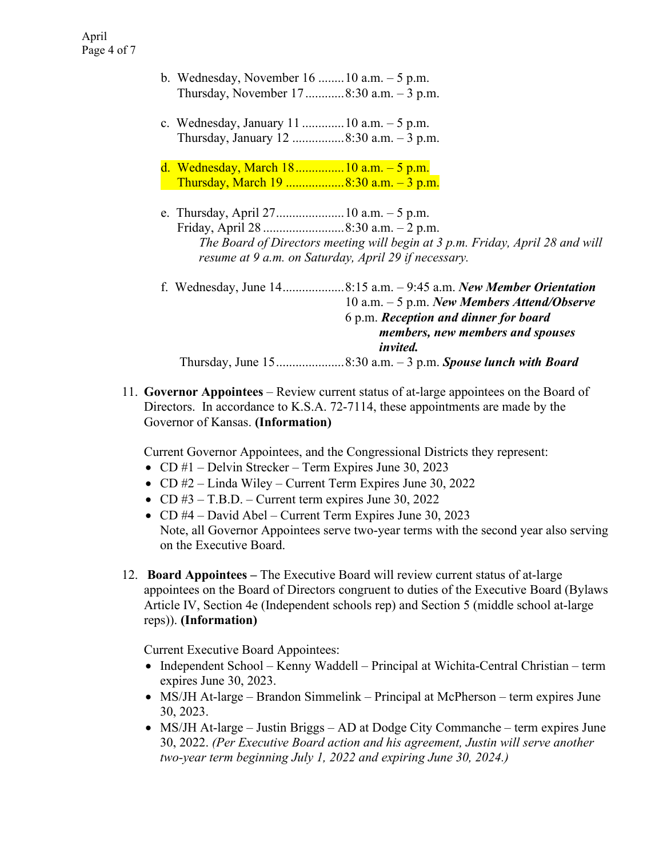- b. Wednesday, November 16 ........10 a.m. 5 p.m. Thursday, November 17 ............ 8:30 a.m. – 3 p.m.
- c. Wednesday, January 11 ............. 10 a.m. 5 p.m. Thursday, January 12 ................ 8:30 a.m. – 3 p.m.
- d. Wednesday, March 18 ............... 10 a.m. 5 p.m. Thursday, March 19 .................. 8:30 a.m. – 3 p.m.
- e. Thursday, April 27 ..................... 10 a.m. 5 p.m. Friday, April 28 ......................... 8:30 a.m. – 2 p.m. *The Board of Directors meeting will begin at 3 p.m. Friday, April 28 and will resume at 9 a.m. on Saturday, April 29 if necessary.*

| f. Wednesday, June 148:15 a.m. - 9:45 a.m. New Member Orientation |
|-------------------------------------------------------------------|
| 10 a.m. $-5$ p.m. New Members Attend/Observe                      |
| 6 p.m. Reception and dinner for board                             |
| members, new members and spouses                                  |
| <i>invited.</i>                                                   |
|                                                                   |

11. **Governor Appointees** – Review current status of at-large appointees on the Board of Directors. In accordance to K.S.A. 72-7114, these appointments are made by the Governor of Kansas. **(Information)**

Current Governor Appointees, and the Congressional Districts they represent:

- CD #1 Delvin Strecker Term Expires June 30, 2023
- CD #2 Linda Wiley Current Term Expires June 30, 2022
- CD  $#3 T.B.D.$  Current term expires June 30, 2022
- CD #4 David Abel Current Term Expires June 30, 2023 Note, all Governor Appointees serve two-year terms with the second year also serving on the Executive Board.
- 12. **Board Appointees –** The Executive Board will review current status of at-large appointees on the Board of Directors congruent to duties of the Executive Board (Bylaws Article IV, Section 4e (Independent schools rep) and Section 5 (middle school at-large reps)). **(Information)**

Current Executive Board Appointees:

- Independent School Kenny Waddell Principal at Wichita-Central Christian term expires June 30, 2023.
- MS/JH At-large Brandon Simmelink Principal at McPherson term expires June 30, 2023.
- MS/JH At-large Justin Briggs AD at Dodge City Commanche term expires June 30, 2022. *(Per Executive Board action and his agreement, Justin will serve another two-year term beginning July 1, 2022 and expiring June 30, 2024.)*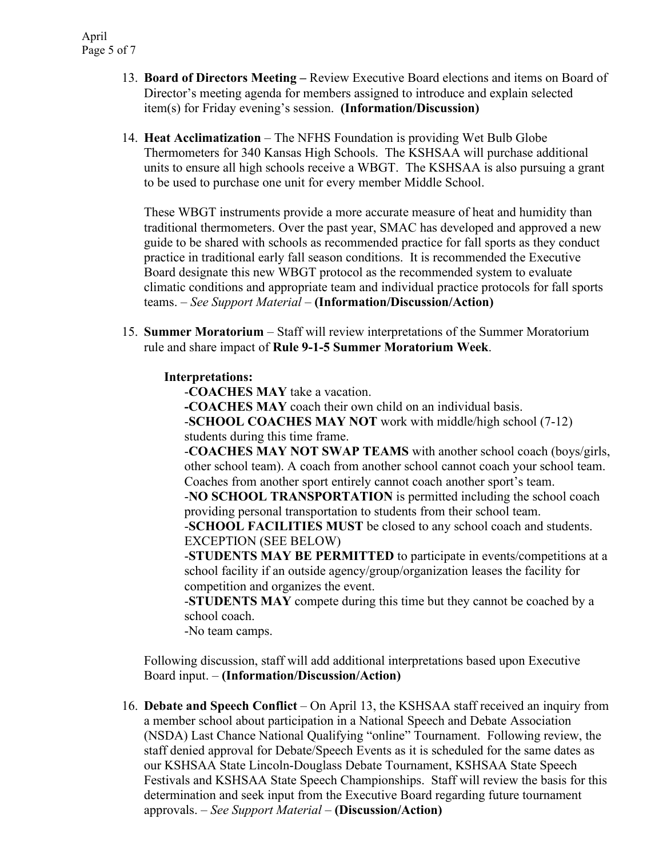- 13. **Board of Directors Meeting –** Review Executive Board elections and items on Board of Director's meeting agenda for members assigned to introduce and explain selected item(s) for Friday evening's session. **(Information/Discussion)**
- 14. **Heat Acclimatization** The NFHS Foundation is providing Wet Bulb Globe Thermometers for 340 Kansas High Schools. The KSHSAA will purchase additional units to ensure all high schools receive a WBGT. The KSHSAA is also pursuing a grant to be used to purchase one unit for every member Middle School.

These WBGT instruments provide a more accurate measure of heat and humidity than traditional thermometers. Over the past year, SMAC has developed and approved a new guide to be shared with schools as recommended practice for fall sports as they conduct practice in traditional early fall season conditions. It is recommended the Executive Board designate this new WBGT protocol as the recommended system to evaluate climatic conditions and appropriate team and individual practice protocols for fall sports teams. *– See Support Material –* **(Information/Discussion/Action)**

15. **Summer Moratorium** – Staff will review interpretations of the Summer Moratorium rule and share impact of **Rule 9-1-5 Summer Moratorium Week**.

#### **Interpretations:**

-**COACHES MAY** take a vacation.

**-COACHES MAY** coach their own child on an individual basis.

-**SCHOOL COACHES MAY NOT** work with middle/high school (7-12) students during this time frame.

-**COACHES MAY NOT SWAP TEAMS** with another school coach (boys/girls, other school team). A coach from another school cannot coach your school team. Coaches from another sport entirely cannot coach another sport's team.

-**NO SCHOOL TRANSPORTATION** is permitted including the school coach providing personal transportation to students from their school team.

-**SCHOOL FACILITIES MUST** be closed to any school coach and students. EXCEPTION (SEE BELOW)

-**STUDENTS MAY BE PERMITTED** to participate in events/competitions at a school facility if an outside agency/group/organization leases the facility for competition and organizes the event.

-**STUDENTS MAY** compete during this time but they cannot be coached by a school coach.

-No team camps.

Following discussion, staff will add additional interpretations based upon Executive Board input. *–* **(Information/Discussion/Action)**

16. **Debate and Speech Conflict** – On April 13, the KSHSAA staff received an inquiry from a member school about participation in a National Speech and Debate Association (NSDA) Last Chance National Qualifying "online" Tournament. Following review, the staff denied approval for Debate/Speech Events as it is scheduled for the same dates as our KSHSAA State Lincoln-Douglass Debate Tournament, KSHSAA State Speech Festivals and KSHSAA State Speech Championships. Staff will review the basis for this determination and seek input from the Executive Board regarding future tournament approvals. *– See Support Material –* **(Discussion/Action)**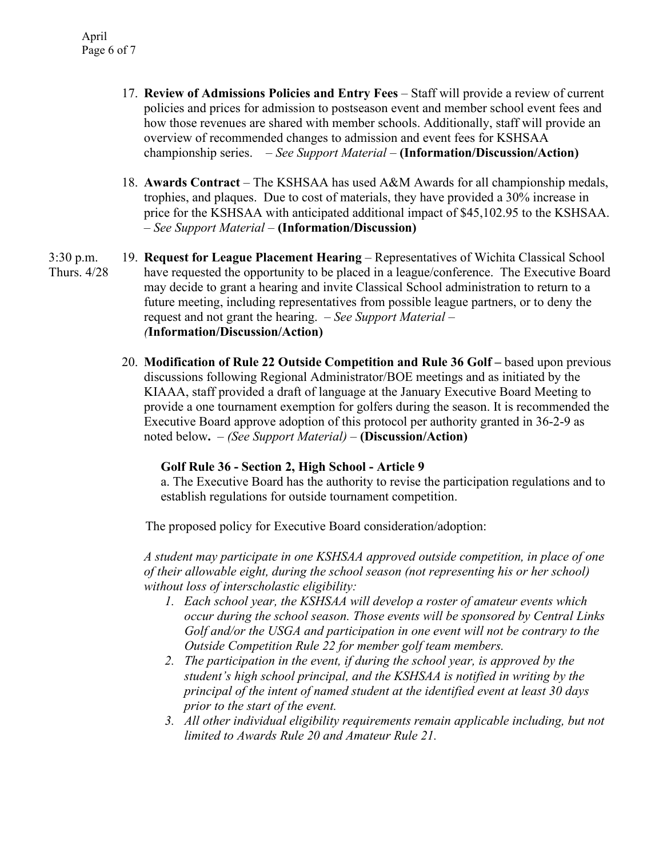- 17. **Review of Admissions Policies and Entry Fees** Staff will provide a review of current policies and prices for admission to postseason event and member school event fees and how those revenues are shared with member schools. Additionally, staff will provide an overview of recommended changes to admission and event fees for KSHSAA championship series. *– See Support Material –* **(Information/Discussion/Action)**
- 18. **Awards Contract** The KSHSAA has used A&M Awards for all championship medals, trophies, and plaques. Due to cost of materials, they have provided a 30% increase in price for the KSHSAA with anticipated additional impact of \$45,102.95 to the KSHSAA. *– See Support Material –* **(Information/Discussion)**
- 3:30 p.m. Thurs. 4/28 19. **Request for League Placement Hearing** – Representatives of Wichita Classical School have requested the opportunity to be placed in a league/conference. The Executive Board may decide to grant a hearing and invite Classical School administration to return to a future meeting, including representatives from possible league partners, or to deny the request and not grant the hearing. *– See Support Material – (***Information/Discussion/Action)**
	- 20. **Modification of Rule 22 Outside Competition and Rule 36 Golf –** based upon previous discussions following Regional Administrator/BOE meetings and as initiated by the KIAAA, staff provided a draft of language at the January Executive Board Meeting to provide a one tournament exemption for golfers during the season. It is recommended the Executive Board approve adoption of this protocol per authority granted in 36-2-9 as noted below**.** *– (See Support Material) –* **(Discussion/Action)**

## **Golf Rule 36 - Section 2, High School - Article 9**

a. The Executive Board has the authority to revise the participation regulations and to establish regulations for outside tournament competition.

The proposed policy for Executive Board consideration/adoption:

*A student may participate in one KSHSAA approved outside competition, in place of one of their allowable eight, during the school season (not representing his or her school) without loss of interscholastic eligibility:*

- *1. Each school year, the KSHSAA will develop a roster of amateur events which occur during the school season. Those events will be sponsored by Central Links Golf and/or the USGA and participation in one event will not be contrary to the Outside Competition Rule 22 for member golf team members.*
- *2. The participation in the event, if during the school year, is approved by the student's high school principal, and the KSHSAA is notified in writing by the principal of the intent of named student at the identified event at least 30 days prior to the start of the event.*
- *3. All other individual eligibility requirements remain applicable including, but not limited to Awards Rule 20 and Amateur Rule 21.*